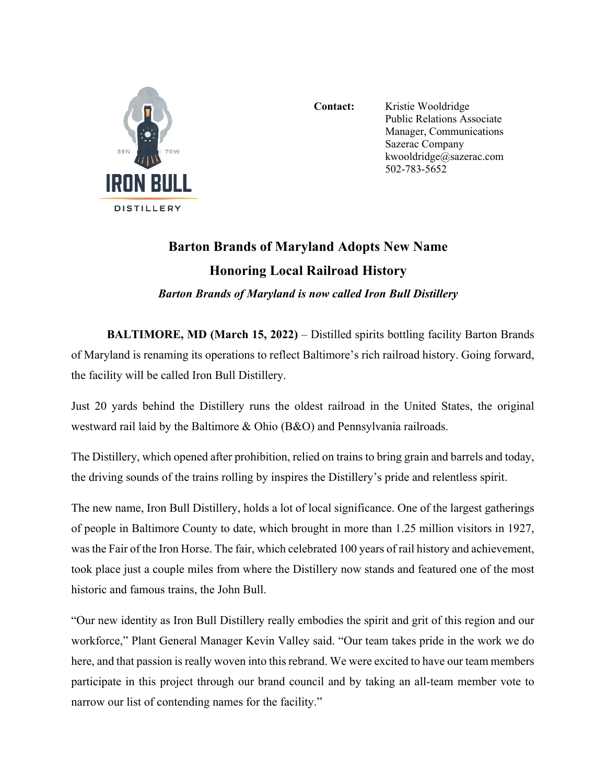

Contact: Kristie Wooldridge Public Relations Associate Manager, Communications Sazerac Company kwooldridge@sazerac.com 502-783-5652

## **Barton Brands of Maryland Adopts New Name Honoring Local Railroad History**

*Barton Brands of Maryland is now called Iron Bull Distillery*

**BALTIMORE, MD (March 15, 2022)** – Distilled spirits bottling facility Barton Brands of Maryland is renaming its operations to reflect Baltimore's rich railroad history. Going forward, the facility will be called Iron Bull Distillery.

Just 20 yards behind the Distillery runs the oldest railroad in the United States, the original westward rail laid by the Baltimore & Ohio (B&O) and Pennsylvania railroads.

The Distillery, which opened after prohibition, relied on trains to bring grain and barrels and today, the driving sounds of the trains rolling by inspires the Distillery's pride and relentless spirit.

The new name, Iron Bull Distillery, holds a lot of local significance. One of the largest gatherings of people in Baltimore County to date, which brought in more than 1.25 million visitors in 1927, was the Fair of the Iron Horse. The fair, which celebrated 100 years of rail history and achievement, took place just a couple miles from where the Distillery now stands and featured one of the most historic and famous trains, the John Bull.

"Our new identity as Iron Bull Distillery really embodies the spirit and grit of this region and our workforce," Plant General Manager Kevin Valley said. "Our team takes pride in the work we do here, and that passion is really woven into this rebrand. We were excited to have our team members participate in this project through our brand council and by taking an all-team member vote to narrow our list of contending names for the facility."